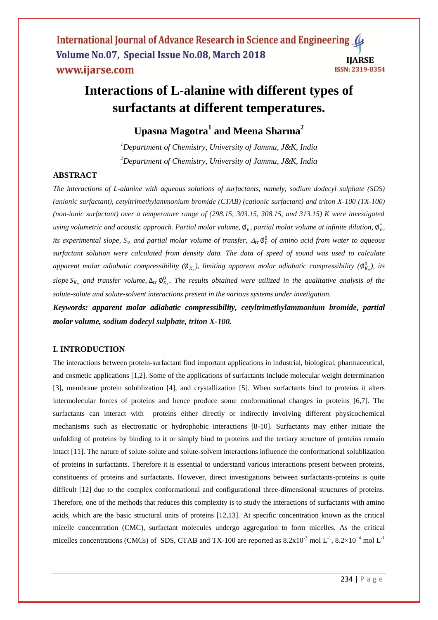# **Interactions of L-alanine with different types of surfactants at different temperatures.**

# **Upasna Magotra<sup>1</sup> and Meena Sharma<sup>2</sup>**

*<sup>1</sup>Department of Chemistry, University of Jammu, J&K, India <sup>2</sup>Department of Chemistry, University of Jammu, J&K, India*

## **ABSTRACT**

*The interactions of L-alanine with aqueous solutions of surfactants, namely, sodium dodecyl sulphate (SDS) (anionic surfactant), cetyltrimethylammonium bromide (CTAB) (cationic surfactant) and triton X-100 (TX-100) (non-ionic surfactant) over a temperature range of (298.15, 303.15, 308.15, and 313.15) K were investigated*  using volumetric and acoustic approach. Partial molar volume,  $\phi_v$ , partial molar volume at infinite dilution,  $\phi_v$ <sup>\*</sup>, *its experimental slope,*  $S_v$  and partial molar volume of transfer,  $\Delta_{tr} \emptyset_v^0$  of amino acid from water to aqueous *surfactant solution were calculated from density data. The data of speed of sound was used to calculate*  apparent molar adiabatic compressibility ( $\emptyset_{K_s}$ ), limiting apparent molar adiabatic compressibility ( $\emptyset_{K_s}^0$ ), its  $slope S_{K_s}$  and transfer volume,  $\Delta_{tr} \phi_{K_s}^0$ . The results obtained were utilized in the qualitative analysis of the *solute-solute and solute-solvent interactions present in the various systems under invetigation.*

*Keywords: apparent molar adiabatic compressibility, cetyltrimethylammonium bromide, partial molar volume, sodium dodecyl sulphate, triton X-100.*

#### **I. INTRODUCTION**

The interactions between protein-surfactant find important applications in industrial, biological, pharmaceutical, and cosmetic applications [1,2]. Some of the applications of surfactants include molecular weight determination [3], membrane protein solublization [4], and crystallization [5]. When surfactants bind to proteins it alters intermolecular forces of proteins and hence produce some conformational changes in proteins [6,7]. The surfactants can interact with proteins either directly or indirectly involving different physicochemical mechanisms such as electrostatic or hydrophobic interactions [8-10]. Surfactants may either initiate the unfolding of proteins by binding to it or simply bind to proteins and the tertiary structure of proteins remain intact [11]. The nature of solute-solute and solute-solvent interactions influence the conformational solublization of proteins in surfactants. Therefore it is essential to understand various interactions present between proteins, constituents of proteins and surfactants. However, direct investigations between surfactants-proteins is quite difficult [12] due to the complex conformational and configurational three-dimensional structures of proteins. Therefore, one of the methods that reduces this complexity is to study the interactions of surfactants with amino acids, which are the basic structural units of proteins [12,13]. At specific concentration known as the critical micelle concentration (CMC), surfactant molecules undergo aggregation to form micelles. As the critical micelles concentrations (CMCs) of SDS, CTAB and TX-100 are reported as  $8.2 \times 10^{-3}$  mol  $L^{-1}$ ,  $8.2 \times 10^{-4}$  mol  $L^{-1}$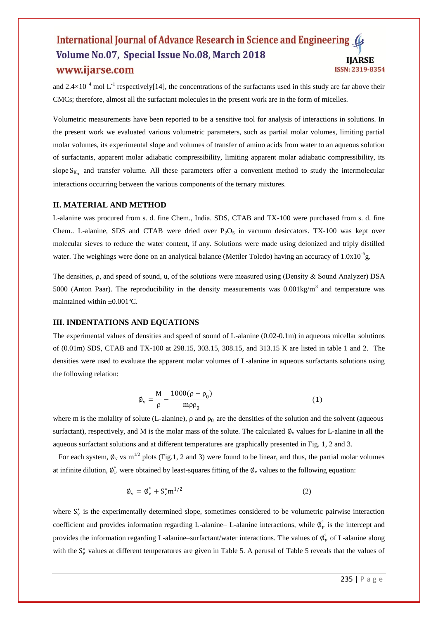and 2.4×10<sup>-4</sup> mol L<sup>-1</sup> respectively[14], the concentrations of the surfactants used in this study are far above their CMCs; therefore, almost all the surfactant molecules in the present work are in the form of micelles.

Volumetric measurements have been reported to be a sensitive tool for analysis of interactions in solutions. In the present work we evaluated various volumetric parameters, such as partial molar volumes, limiting partial molar volumes, its experimental slope and volumes of transfer of amino acids from water to an aqueous solution of surfactants, apparent molar adiabatic compressibility, limiting apparent molar adiabatic compressibility, its slope  $S_{K_s}$  and transfer volume. All these parameters offer a convenient method to study the intermolecular interactions occurring between the various components of the ternary mixtures.

#### **II. MATERIAL AND METHOD**

L-alanine was procured from s. d. fine Chem., India. SDS, CTAB and TX-100 were purchased from s. d. fine Chem.. L-alanine, SDS and CTAB were dried over  $P_2O_5$  in vacuum desiccators. TX-100 was kept over molecular sieves to reduce the water content, if any. Solutions were made using deionized and triply distilled water. The weighings were done on an analytical balance (Mettler Toledo) having an accuracy of  $1.0x10^{-5}$ g.

The densities, ρ, and speed of sound, u, of the solutions were measured using (Density & Sound Analyzer) DSA 5000 (Anton Paar). The reproducibility in the density measurements was  $0.001 \text{kg/m}^3$  and temperature was maintained within ±0.001ºC.

#### **III. INDENTATIONS AND EQUATIONS**

The experimental values of densities and speed of sound of L-alanine (0.02-0.1m) in aqueous micellar solutions of (0.01m) SDS, CTAB and TX-100 at 298.15, 303.15, 308.15, and 313.15 K are listed in table 1 and 2. The densities were used to evaluate the apparent molar volumes of L-alanine in aqueous surfactants solutions using the following relation:

$$
\phi_{\rm v} = \frac{M}{\rho} - \frac{1000(\rho - \rho_0)}{m\rho \rho_0}
$$
\n(1)

where m is the molality of solute (L-alanine),  $\rho$  and  $\rho_0$  are the densities of the solution and the solvent (aqueous surfactant), respectively, and M is the molar mass of the solute. The calculated  $\phi_v$  values for L-alanine in all the aqueous surfactant solutions and at different temperatures are graphically presented in Fig. 1, 2 and 3.

For each system,  $\phi_y$  vs m<sup>1/2</sup> plots (Fig.1, 2 and 3) were found to be linear, and thus, the partial molar volumes at infinite dilution,  $\phi_{\nu}^{\circ}$  were obtained by least-squares fitting of the  $\phi_{\nu}$  values to the following equation:

$$
\varphi_{\rm v} = \varphi_{\rm v}^{\circ} + S_{\rm v}^* \mathbf{m}^{1/2} \tag{2}
$$

where  $S_v^*$  is the experimentally determined slope, sometimes considered to be volumetric pairwise interaction coefficient and provides information regarding L-alanine– L-alanine interactions, while  $\phi_{\nu}^{\circ}$  is the intercept and provides the information regarding L-alanine–surfactant/water interactions. The values of  $\varnothing_v^{\circ}$  of L-alanine along with the  $S_v^*$  values at different temperatures are given in Table 5. A perusal of Table 5 reveals that the values of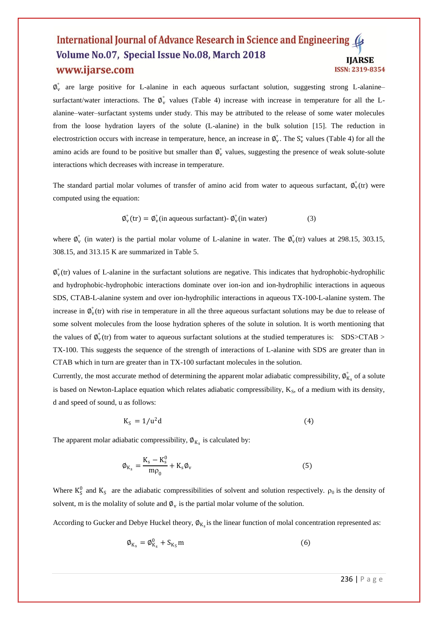$\phi_{v}^{\circ}$  are large positive for L-alanine in each aqueous surfactant solution, suggesting strong L-alanine– surfactant/water interactions. The  $\phi_{v}^{\circ}$  values (Table 4) increase with increase in temperature for all the Lalanine–water–surfactant systems under study. This may be attributed to the release of some water molecules from the loose hydration layers of the solute (L-alanine) in the bulk solution [15]. The reduction in electrostriction occurs with increase in temperature, hence, an increase in  $\phi_v^{\circ}$ . The  $S_v^*$  values (Table 4) for all the amino acids are found to be positive but smaller than  $\phi_v^{\circ}$  values, suggesting the presence of weak solute-solute interactions which decreases with increase in temperature.

The standard partial molar volumes of transfer of amino acid from water to aqueous surfactant,  $\phi_{\nu}^{\circ}(tr)$  were computed using the equation:

$$
\phi_{\nu}^{\circ}(\text{tr}) = \phi_{\nu}^{\circ}(\text{in aqueous surfactant}) - \phi_{\nu}^{\circ}(\text{in water})
$$
 (3)

where  $\phi_{v}^{\circ}$  (in water) is the partial molar volume of L-alanine in water. The  $\phi_{v}^{\circ}$  (tr) values at 298.15, 303.15, 308.15, and 313.15 K are summarized in Table 5.

 $\phi_{\nu}^{\circ}$ (tr) values of L-alanine in the surfactant solutions are negative. This indicates that hydrophobic-hydrophilic and hydrophobic-hydrophobic interactions dominate over ion-ion and ion-hydrophilic interactions in aqueous SDS, CTAB-L-alanine system and over ion-hydrophilic interactions in aqueous TX-100-L-alanine system. The increase in  $\phi_{v}^{s}(tr)$  with rise in temperature in all the three aqueous surfactant solutions may be due to release of some solvent molecules from the loose hydration spheres of the solute in solution. It is worth mentioning that the values of  $\phi_{\rm v}^{\rm o}(t)$  from water to aqueous surfactant solutions at the studied temperatures is: SDS>CTAB > TX-100. This suggests the sequence of the strength of interactions of L-alanine with SDS are greater than in CTAB which in turn are greater than in TX-100 surfactant molecules in the solution.

Currently, the most accurate method of determining the apparent molar adiabatic compressibility,  $\phi_{K_s}^{\circ}$  of a solute is based on Newton-Laplace equation which relates adiabatic compressibility,  $K_S$ , of a medium with its density, d and speed of sound, u as follows:

$$
K_S = 1/u^2 d \tag{4}
$$

The apparent molar adiabatic compressibility,  $\phi_{K_s}$  is calculated by:

$$
\phi_{K_s} = \frac{K_s - K_s^0}{m\rho_0} + K_s \phi_v \tag{5}
$$

Where  $K_S^0$  and  $K_S$  are the adiabatic compressibilities of solvent and solution respectively.  $\rho_0$  is the density of solvent, m is the molality of solute and  $\phi_{\rm v}$  is the partial molar volume of the solution.

According to Gucker and Debye Huckel theory,  $\phi_{K_s}$  is the linear function of molal concentration represented as:

$$
\phi_{K_s} = \phi_{K_s}^0 + S_{K_S} m \tag{6}
$$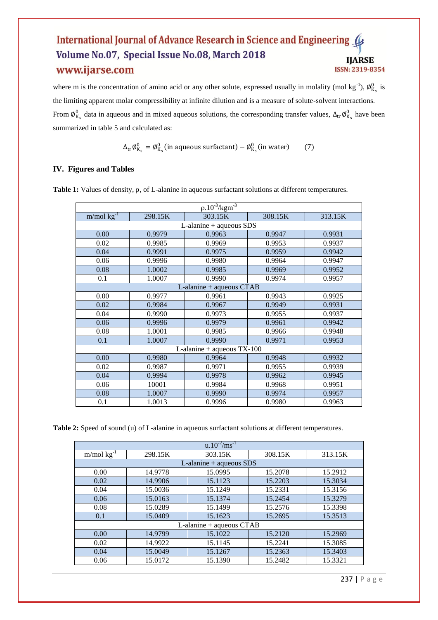where m is the concentration of amino acid or any other solute, expressed usually in molality (mol kg<sup>-1</sup>),  $\phi_{K_s}^0$  is the limiting apparent molar compressibility at infinite dilution and is a measure of solute-solvent interactions. From  $\phi_{K_s}^0$  data in aqueous and in mixed aqueous solutions, the corresponding transfer values,  $\Delta_{tr} \phi_{K_s}^0$  have been summarized in table 5 and calculated as:

$$
\Delta_{\text{tr}} \varphi_{K_s}^0 = \varphi_{K_s}^0 \text{ (in aqueous surfactant)} - \varphi_{K_s}^0 \text{ (in water)} \tag{7}
$$

# **IV. Figures and Tables**

**Table 1:** Values of density, ρ, of L-alanine in aqueous surfactant solutions at different temperatures.

| $\rho.10^{-3}/\text{kgm}^{-3}$ |         |                              |         |         |  |
|--------------------------------|---------|------------------------------|---------|---------|--|
| $m/mol$ kg <sup>-1</sup>       | 298.15K | 303.15K                      | 308.15K | 313.15K |  |
|                                |         | $L$ -alanine + aqueous SDS   |         |         |  |
| 0.00                           | 0.9979  | 0.9963                       | 0.9947  | 0.9931  |  |
| 0.02                           | 0.9985  | 0.9969                       | 0.9953  | 0.9937  |  |
| 0.04                           | 0.9991  | 0.9975                       | 0.9959  | 0.9942  |  |
| 0.06                           | 0.9996  | 0.9980                       | 0.9964  | 0.9947  |  |
| 0.08                           | 1.0002  | 0.9985                       | 0.9969  | 0.9952  |  |
| 0.1                            | 1.0007  | 0.9990                       | 0.9974  | 0.9957  |  |
|                                |         | L-alanine + aqueous CTAB     |         |         |  |
| 0.00                           | 0.9977  | 0.9961                       | 0.9943  | 0.9925  |  |
| 0.02                           | 0.9984  | 0.9967                       | 0.9949  | 0.9931  |  |
| 0.04                           | 0.9990  | 0.9973                       | 0.9955  | 0.9937  |  |
| 0.06                           | 0.9996  | 0.9979                       | 0.9961  | 0.9942  |  |
| 0.08                           | 1.0001  | 0.9985                       | 0.9966  | 0.9948  |  |
| 0.1                            | 1.0007  | 0.9990                       | 0.9971  | 0.9953  |  |
|                                |         | L-alanine + aqueous $TX-100$ |         |         |  |
| 0.00                           | 0.9980  | 0.9964                       | 0.9948  | 0.9932  |  |
| 0.02                           | 0.9987  | 0.9971                       | 0.9955  | 0.9939  |  |
| 0.04                           | 0.9994  | 0.9978                       | 0.9962  | 0.9945  |  |
| 0.06                           | 10001   | 0.9984                       | 0.9968  | 0.9951  |  |
| 0.08                           | 1.0007  | 0.9990                       | 0.9974  | 0.9957  |  |
| 0.1                            | 1.0013  | 0.9996                       | 0.9980  | 0.9963  |  |

**Table 2:** Speed of sound (u) of L-alanine in aqueous surfactant solutions at different temperatures.

| $u.10^{-2}/\text{ms}^{-1}$    |         |                            |         |         |  |
|-------------------------------|---------|----------------------------|---------|---------|--|
| $m/mol$ kg <sup>-1</sup>      | 298.15K | 303.15K                    | 308.15K | 313.15K |  |
|                               |         | $L$ -alanine + aqueous SDS |         |         |  |
| 0.00                          | 14.9778 | 15.0995                    | 15.2078 | 15.2912 |  |
| 0.02                          | 14.9906 | 15.1123                    | 15.2203 | 15.3034 |  |
| 0.04                          | 15.0036 | 15.1249                    | 15.2331 | 15.3156 |  |
| 0.06                          | 15.0163 | 15.1374                    | 15.2454 | 15.3279 |  |
| 0.08                          | 15.0289 | 15.1499                    | 15.2576 | 15.3398 |  |
| 0.1                           | 15.0409 | 15.1623                    | 15.2695 | 15.3513 |  |
| $L$ -alanine + aqueous $CTAB$ |         |                            |         |         |  |
| 0.00                          | 14.9799 | 15.1022                    | 15.2120 | 15.2969 |  |
| 0.02                          | 14.9922 | 15.1145                    | 15.2241 | 15.3085 |  |
| 0.04                          | 15.0049 | 15.1267                    | 15.2363 | 15.3403 |  |
| 0.06                          | 15.0172 | 15.1390                    | 15.2482 | 15.3321 |  |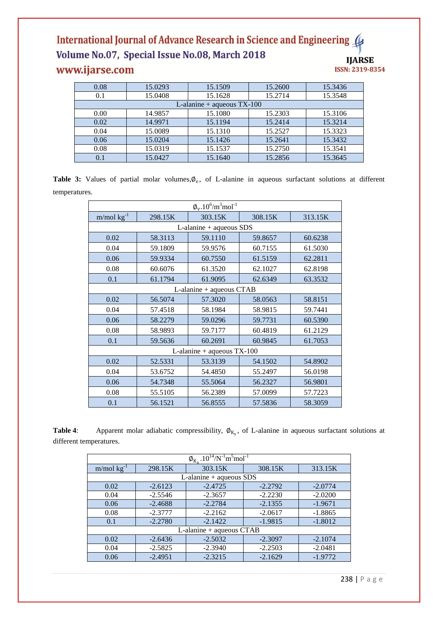| 0.08 | 15.0293 | 15.1509                      | 15.2600 | 15.3436 |
|------|---------|------------------------------|---------|---------|
| 0.1  | 15.0408 | 15.1628                      | 15.2714 | 15.3548 |
|      |         | L-alanine + aqueous $TX-100$ |         |         |
| 0.00 | 14.9857 | 15.1080                      | 15.2303 | 15.3106 |
| 0.02 | 14.9971 | 15.1194                      | 15.2414 | 15.3214 |
| 0.04 | 15.0089 | 15.1310                      | 15.2527 | 15.3323 |
| 0.06 | 15.0204 | 15.1426                      | 15.2641 | 15.3432 |
| 0.08 | 15.0319 | 15.1537                      | 15.2750 | 15.3541 |
| 0.1  | 15.0427 | 15.1640                      | 15.2856 | 15.3645 |

Table 3: Values of partial molar volumes,  $\phi_v$ , of L-alanine in aqueous surfactant solutions at different temperatures.

| $\phi_{\rm v}$ .10 <sup>6</sup> /m <sup>3</sup> mol <sup>-1</sup> |                              |                          |         |         |  |  |
|-------------------------------------------------------------------|------------------------------|--------------------------|---------|---------|--|--|
| $m/mol$ kg <sup>-1</sup>                                          | 298.15K                      | 303.15K                  | 308.15K | 313.15K |  |  |
|                                                                   | $L$ -alanine + aqueous SDS   |                          |         |         |  |  |
| 0.02                                                              | 58.3113                      | 59.1110                  | 59.8657 | 60.6238 |  |  |
| 0.04                                                              | 59.1809                      | 59.9576                  | 60.7155 | 61.5030 |  |  |
| 0.06                                                              | 59.9334                      | 60.7550                  | 61.5159 | 62.2811 |  |  |
| 0.08                                                              | 60.6076                      | 61.3520                  | 62.1027 | 62.8198 |  |  |
| 0.1                                                               | 61.1794                      | 61.9095                  | 62.6349 | 63.3532 |  |  |
|                                                                   |                              | L-alanine + aqueous CTAB |         |         |  |  |
| 0.02                                                              | 56.5074                      | 57.3020                  | 58.0563 | 58.8151 |  |  |
| 0.04                                                              | 57.4518                      | 58.1984                  | 58.9815 | 59.7441 |  |  |
| 0.06                                                              | 58.2279                      | 59.0296                  | 59.7731 | 60.5390 |  |  |
| 0.08                                                              | 58.9893                      | 59.7177                  | 60.4819 | 61.2129 |  |  |
| 0.1                                                               | 59.5636                      | 60.2691                  | 60.9845 | 61.7053 |  |  |
|                                                                   | L-alanine + aqueous $TX-100$ |                          |         |         |  |  |
| 0.02                                                              | 52.5331                      | 53.3139                  | 54.1502 | 54.8902 |  |  |
| 0.04                                                              | 53.6752                      | 54.4850                  | 55.2497 | 56.0198 |  |  |
| 0.06                                                              | 54.7348                      | 55.5064                  | 56.2327 | 56.9801 |  |  |
| 0.08                                                              | 55.5105                      | 56.2389                  | 57.0099 | 57.7223 |  |  |
| 0.1                                                               | 56.1521                      | 56.8555                  | 57.5836 | 58.3059 |  |  |

**Table 4:** Apparent molar adiabatic compressibility,  $\varphi_{K_s}$ , of L-alanine in aqueous surfactant solutions at different temperatures.

| $\phi_{K_s}$ .10 <sup>14</sup> /N <sup>-1</sup> m <sup>5</sup> mol <sup>-1</sup> |                                                  |                            |           |           |  |
|----------------------------------------------------------------------------------|--------------------------------------------------|----------------------------|-----------|-----------|--|
| $m/mol$ kg <sup>-1</sup>                                                         | 298.15K                                          | 303.15K                    | 308.15K   | 313.15K   |  |
|                                                                                  |                                                  | $L$ -alanine + aqueous SDS |           |           |  |
| $-2.6123$<br>$-2.2792$<br>0.02<br>$-2.4725$<br>$-2.0774$                         |                                                  |                            |           |           |  |
| 0.04                                                                             | $-2.3657$<br>$-2.2230$<br>$-2.5546$<br>$-2.0200$ |                            |           |           |  |
| 0.06                                                                             | $-2.4688$                                        | $-2.2784$                  |           | $-1.9671$ |  |
| 0.08                                                                             | $-2.3777$                                        | $-2.2162$                  |           | $-1.8865$ |  |
| 0.1                                                                              | $-2.2780$                                        | $-2.1422$                  | $-1.9815$ | $-1.8012$ |  |
| L-alanine + aqueous CTAB                                                         |                                                  |                            |           |           |  |
| 0.02                                                                             | $-2.6436$                                        | $-2.5032$                  | $-2.3097$ | $-2.1074$ |  |
| 0.04                                                                             | $-2.5825$                                        | $-2.3940$                  | $-2.2503$ | $-2.0481$ |  |
| 0.06                                                                             | $-2.4951$                                        | $-2.3215$                  | $-2.1629$ | $-1.9772$ |  |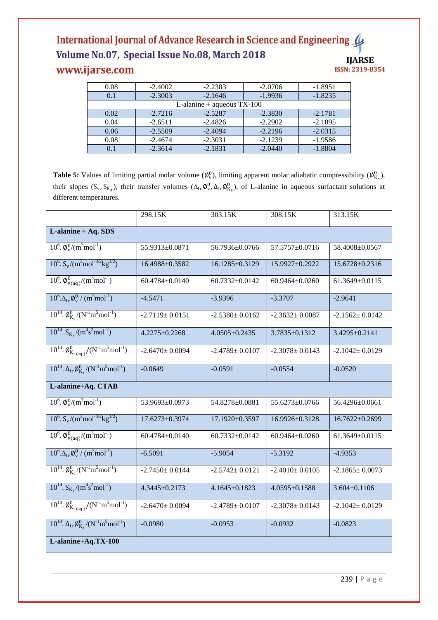| 0.08    | $-2.4002$ | $-2.2383$                    | $-2.0706$ | $-1.8951$ |
|---------|-----------|------------------------------|-----------|-----------|
| 0.1     | $-2.3003$ | $-2.1646$                    | $-1.9936$ | $-1.8235$ |
|         |           | L-alanine + aqueous $TX-100$ |           |           |
| 0.02    | $-2.7216$ | $-2.5287$                    | $-2.3830$ | $-2.1781$ |
| 0.04    | $-2.6511$ | $-2.4826$                    | $-2.2902$ | $-2.1095$ |
| 0.06    | $-2.5509$ | $-2.4094$                    | $-2.2196$ | $-2.0315$ |
| 0.08    | $-2.4674$ | $-2.3031$                    | $-2.1239$ | $-1.9586$ |
| $0.1\,$ | $-2.3614$ | $-2.1831$                    | $-2.0440$ | $-1.8804$ |

**Table 5:** Values of limiting partial molar volume  $(\emptyset_v^0)$ , limiting apparent molar adiabatic compressibility  $(\emptyset_{K_s}^0)$ , their slopes  $(S_v, S_{K_s})$ , their transfer volumes  $(\Delta_{tr} \phi_v^0, \Delta_{tr} \phi_{K_s}^0)$ , of L-alanine in aqueous surfactant solutions at different temperatures.

|                                                                                            | 298.15K              | 303.15K              | 308.15K              | 313.15K              |  |  |
|--------------------------------------------------------------------------------------------|----------------------|----------------------|----------------------|----------------------|--|--|
| L-alanine + Aq. SDS                                                                        |                      |                      |                      |                      |  |  |
| $10^6$ . $\phi_{\rm v}^0/(m^3 \text{mol}^{-1})$                                            | 55.9313±0.0871       | 56.7936±0.0766       | 57.5757±0.0716       | 58.4008±0.0567       |  |  |
| $10^6$ . S <sub>v</sub> /(m <sup>3</sup> mol <sup>-3/2</sup> kg <sup>1/2</sup> )           | 16.4988±0.3582       | 16.1285±0.3129       | 15.9927±0.2922       | 15.6728±0.2316       |  |  |
| $10^6$ . $\phi_{v(aq)}^0/(m^3 mol^{-1})$                                                   | 60.4784±0.0140       | $60.7332 \pm 0.0142$ | 60.9464±0.0260       | 61.3649±0.0115       |  |  |
| $10^6 \Delta_{\rm tr} \phi_{\rm v}^0 / (m^3 \text{mol}^{-1})$                              | $-4.5471$            | $-3.9396$            | $-3.3707$            | $-2.9641$            |  |  |
| $10^{14}$ . $\phi_{K_s}^0/(N^{-1}m^5 mol^{-1})$                                            | $-2.7119 \pm 0.0151$ | $-2.5380 \pm 0.0162$ | $-2.3632 \pm 0.0087$ | $-2.1562 \pm 0.0142$ |  |  |
| $10^{14}$ . S <sub>K<sub>s</sub></sub> /(m <sup>4</sup> s <sup>2</sup> mol <sup>-2</sup> ) | $4.2275 \pm 0.2268$  | $4.0505 \pm 0.2435$  | $3.7835 \pm 0.1312$  | 3.4295±0.2141        |  |  |
| $10^{14}$ . $\phi_{K_{s(aq)}}^0/(N^{-1}m^5mol^{-1})$                                       | $-2.6470 \pm 0.0094$ | $-2.4789 \pm 0.0107$ | $-2.3078 \pm 0.0143$ | $-2.1042 \pm 0.0129$ |  |  |
| $10^{14}$ . $\Delta_{\text{tr}} \phi_{\text{K}_s}^0 / (N^{-1} \text{m}^5 \text{mol}^{-1})$ | $-0.0649$            | $-0.0591$            | $-0.0554$            | $-0.0520$            |  |  |
| L-alanine+Aq. CTAB                                                                         |                      |                      |                      |                      |  |  |
| $10^6$ . $\phi_{\rm v}^0/(m^3 \text{mol}^{-1})$                                            | 53.9693±0.0973       | 54.8278±0.0881       | 55.6273±0.0766       | 56.4296±0.0661       |  |  |
| $10^6$ . S <sub>v</sub> /(m <sup>3</sup> mol <sup>-3/2</sup> kg <sup>1/2</sup> )           | 17.6273±0.3974       | 17.1920±0.3597       | 16.9926±0.3128       | 16.7622±0.2699       |  |  |
| $10^6$ . $\phi_{v(aq)}^0/(m^3 mol^{-1})$                                                   | 60.4784±0.0140       | 60.7332±0.0142       | 60.9464±0.0260       | 61.3649±0.0115       |  |  |
| $10^6 \Delta_{\rm tr} \phi_{\rm v}^0 / (m^3 \text{mol}^{-1})$                              | $-6.5091$            | $-5.9054$            | $-5.3192$            | $-4.9353$            |  |  |
| $10^{14} \cdot \frac{\sqrt{6} \sqrt{N}}{K_s} / (N^{-1} m^5 mol^{-1})$                      | $-2.7450 \pm 0.0144$ | $-2.5742 \pm 0.0121$ | $-2.4010 \pm 0.0105$ | $-2.1865 \pm 0.0073$ |  |  |
| $10^{14}$ . S <sub>K<sub>s</sub></sub> /(m <sup>4</sup> s <sup>2</sup> mol <sup>-2</sup> ) | 4.3445±0.2173        | $4.1645 \pm 0.1823$  | $4.0595 \pm 0.1588$  | $3.604 \pm 0.1106$   |  |  |
| $10^{14}$ . $\phi_{K_{s (aa)}}^0/(N^{-1} m^5 mol^{-1})$                                    | $-2.6470 \pm 0.0094$ | $-2.4789 \pm 0.0107$ | $-2.3078 \pm 0.0143$ | $-2.1042 \pm 0.0129$ |  |  |
| $10^{14}$ . $\Delta_{\text{tr}} \phi_{K_s}^0/(N^{-1} m^5 m o l^{-1})$                      | $-0.0980$            | $-0.0953$            | $-0.0932$            | $-0.0823$            |  |  |
| L-alanine+Aq.TX-100                                                                        |                      |                      |                      |                      |  |  |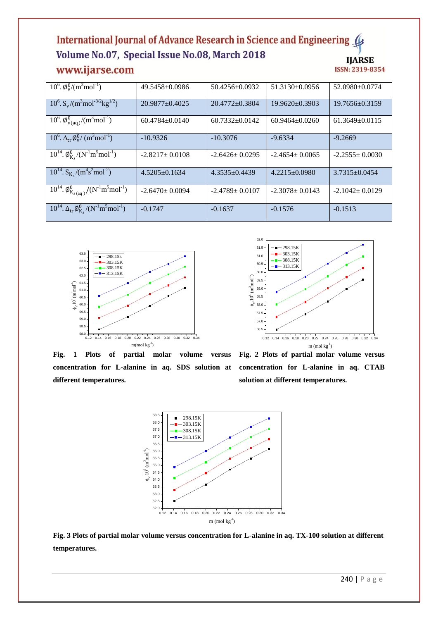| $10^6$ . $\phi_{\rm v}^0/(m^3 \text{mol}^{-1})$                                  | 49.5458+0.0986       | $50.4256 + 0.0932$   | $51.3130 + 0.0956$ | 52.0980+0.0774       |
|----------------------------------------------------------------------------------|----------------------|----------------------|--------------------|----------------------|
| $10^6$ . S <sub>v</sub> /(m <sup>3</sup> mol <sup>-3/2</sup> kg <sup>1/2</sup> ) | $20.9877 + 0.4025$   | $20.4772 + 0.3804$   | $19.9620 + 0.3903$ | $19.7656 \pm 0.3159$ |
| $10^6$ . $\phi_{\text{V(aq)}}^0 / (\text{m}^3 \text{mol}^{-1})$                  | $60.4784 + 0.0140$   | $60.7332+0.0142$     | $60.9464 + 0.0260$ | $61.3649 + 0.0115$   |
| $10^6$ . $\Delta_{\rm tr} \phi_{\rm v}^0 / (m^3 \text{mol}^{-1})$                | $-10.9326$           | $-10.3076$           | $-9.6334$          | $-9.2669$            |
| $10^{14}$ . $\phi_{K_e}^0/(N^{-1}m^5mol^{-1})$                                   | $-2.8217+0.0108$     | $-2.6426 \pm 0.0295$ | $-2.4654 + 0.0065$ | $-2.2555+0.0030$     |
| $10^{14}$ . S <sub>Ks</sub> /(m <sup>4</sup> s <sup>2</sup> mol <sup>-2</sup> )  | $4.5205+0.1634$      | $4.3535 \pm 0.4439$  | $4.2215+0.0980$    | $3.7315+0.0454$      |
| $10^{14}$ . $\phi_{K_{s(aq)}}^0/(N^{-1}m^5m\overline{ol^{-1}})$                  | $-2.6470 \pm 0.0094$ | $-2.4789 + 0.0107$   | $-2.3078 + 0.0143$ | $-2.1042+0.0129$     |
| $10^{14}$ . $\Delta_{\rm tr} \phi_{\rm K}^0/(N^{-1} \text{m}^5 \text{mol}^{-1})$ | $-0.1747$            | $-0.1637$            | $-0.1576$          | $-0.1513$            |





**Fig. 1 Plots of partial molar volume versus concentration for L-alanine in aq. SDS solution at different temperatures.** 

**Fig. 2 Plots of partial molar volume versus concentration for L-alanine in aq. CTAB solution at different temperatures.** 



**Fig. 3 Plots of partial molar volume versus concentration for L-alanine in aq. TX-100 solution at different temperatures.**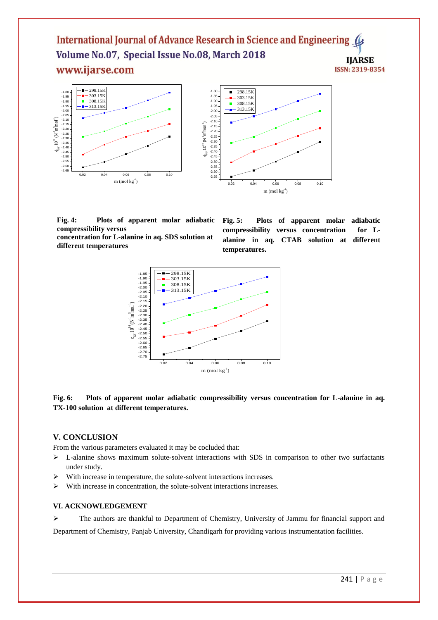

**Fig. 4: Plots of apparent molar adiabatic compressibility versus** 

**concentration for L-alanine in aq. SDS solution at different temperatures**

**Fig. 5: Plots of apparent molar adiabatic compressibility versus concentration for Lalanine in aq. CTAB solution at different temperatures.** 



# **Fig. 6: Plots of apparent molar adiabatic compressibility versus concentration for L-alanine in aq. TX-100 solution at different temperatures.**

# **V. CONCLUSION**

From the various parameters evaluated it may be cocluded that:

- $\triangleright$  L-alanine shows maximum solute-solvent interactions with SDS in comparison to other two surfactants under study.
- $\triangleright$  With increase in temperature, the solute-solvent interactions increases.
- $\triangleright$  With increase in concentration, the solute-solvent interactions increases.

## **VI. ACKNOWLEDGEMENT**

 The authors are thankful to Department of Chemistry, University of Jammu for financial support and Department of Chemistry, Panjab University, Chandigarh for providing various instrumentation facilities.